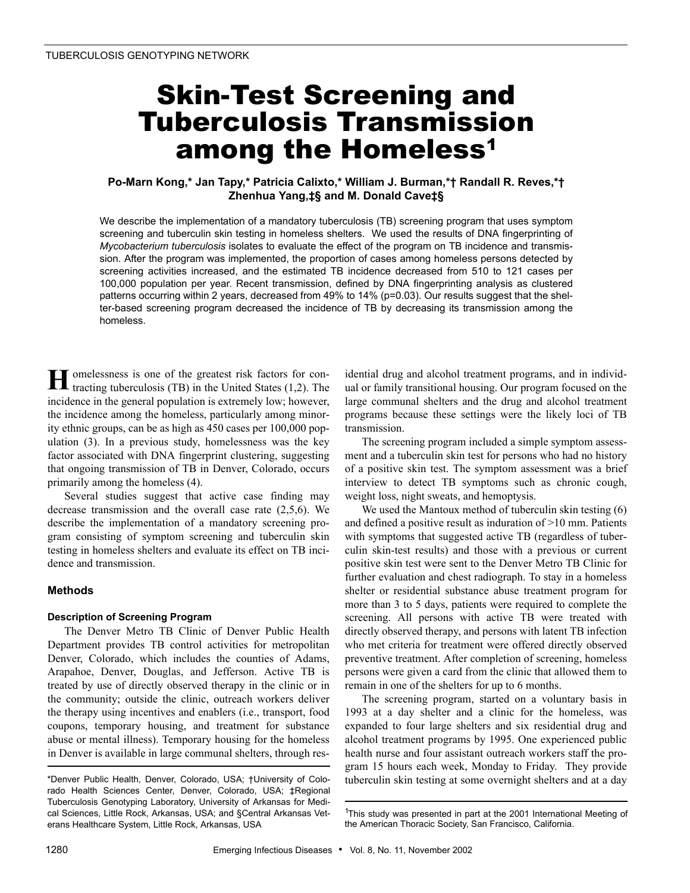# Skin-Test Screening and Tuberculosis Transmission among the Homeless<sup>1</sup>

# **Po-Marn Kong,\* Jan Tapy,\* Patricia Calixto,\* William J. Burman,\*† Randall R. Reves,\*† Zhenhua Yang,‡§ and M. Donald Cave‡§**

We describe the implementation of a mandatory tuberculosis (TB) screening program that uses symptom screening and tuberculin skin testing in homeless shelters. We used the results of DNA fingerprinting of *Mycobacterium tuberculosis* isolates to evaluate the effect of the program on TB incidence and transmission. After the program was implemented, the proportion of cases among homeless persons detected by screening activities increased, and the estimated TB incidence decreased from 510 to 121 cases per 100,000 population per year. Recent transmission, defined by DNA fingerprinting analysis as clustered patterns occurring within 2 years, decreased from 49% to 14% (p=0.03). Our results suggest that the shelter-based screening program decreased the incidence of TB by decreasing its transmission among the homeless.

omelessness is one of the greatest risk factors for contracting tuberculosis (TB) in the United States (1,2). The incidence in the general population is extremely low; however, the incidence among the homeless, particularly among minority ethnic groups, can be as high as 450 cases per 100,000 population (3). In a previous study, homelessness was the key factor associated with DNA fingerprint clustering, suggesting that ongoing transmission of TB in Denver, Colorado, occurs primarily among the homeless (4). **H**

Several studies suggest that active case finding may decrease transmission and the overall case rate (2,5,6). We describe the implementation of a mandatory screening program consisting of symptom screening and tuberculin skin testing in homeless shelters and evaluate its effect on TB incidence and transmission.

# **Methods**

# **Description of Screening Program**

The Denver Metro TB Clinic of Denver Public Health Department provides TB control activities for metropolitan Denver, Colorado, which includes the counties of Adams, Arapahoe, Denver, Douglas, and Jefferson. Active TB is treated by use of directly observed therapy in the clinic or in the community; outside the clinic, outreach workers deliver the therapy using incentives and enablers (i.e., transport, food coupons, temporary housing, and treatment for substance abuse or mental illness). Temporary housing for the homeless in Denver is available in large communal shelters, through residential drug and alcohol treatment programs, and in individual or family transitional housing. Our program focused on the large communal shelters and the drug and alcohol treatment programs because these settings were the likely loci of TB transmission.

The screening program included a simple symptom assessment and a tuberculin skin test for persons who had no history of a positive skin test. The symptom assessment was a brief interview to detect TB symptoms such as chronic cough, weight loss, night sweats, and hemoptysis.

We used the Mantoux method of tuberculin skin testing (6) and defined a positive result as induration of >10 mm. Patients with symptoms that suggested active TB (regardless of tuberculin skin-test results) and those with a previous or current positive skin test were sent to the Denver Metro TB Clinic for further evaluation and chest radiograph. To stay in a homeless shelter or residential substance abuse treatment program for more than 3 to 5 days, patients were required to complete the screening. All persons with active TB were treated with directly observed therapy, and persons with latent TB infection who met criteria for treatment were offered directly observed preventive treatment. After completion of screening, homeless persons were given a card from the clinic that allowed them to remain in one of the shelters for up to 6 months.

The screening program, started on a voluntary basis in 1993 at a day shelter and a clinic for the homeless, was expanded to four large shelters and six residential drug and alcohol treatment programs by 1995. One experienced public health nurse and four assistant outreach workers staff the program 15 hours each week, Monday to Friday. They provide tuberculin skin testing at some overnight shelters and at a day

<sup>\*</sup>Denver Public Health, Denver, Colorado, USA; †University of Colorado Health Sciences Center, Denver, Colorado, USA; ‡Regional Tuberculosis Genotyping Laboratory, University of Arkansas for Medical Sciences, Little Rock, Arkansas, USA; and §Central Arkansas Veterans Healthcare System, Little Rock, Arkansas, USA

<sup>&</sup>lt;sup>1</sup>This study was presented in part at the 2001 International Meeting of the American Thoracic Society, San Francisco, California.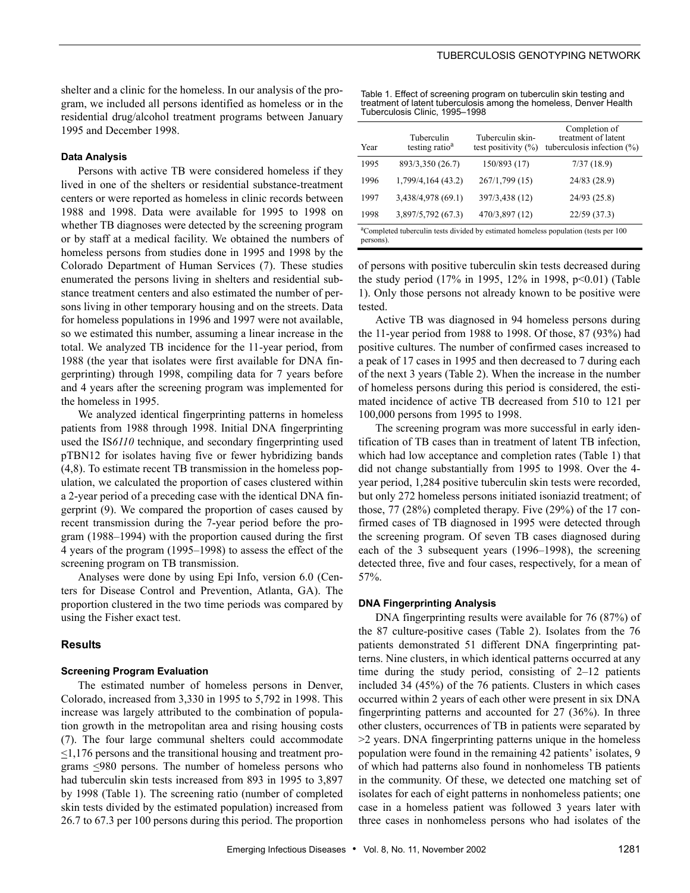shelter and a clinic for the homeless. In our analysis of the program, we included all persons identified as homeless or in the residential drug/alcohol treatment programs between January 1995 and December 1998.

#### **Data Analysis**

Persons with active TB were considered homeless if they lived in one of the shelters or residential substance-treatment centers or were reported as homeless in clinic records between 1988 and 1998. Data were available for 1995 to 1998 on whether TB diagnoses were detected by the screening program or by staff at a medical facility. We obtained the numbers of homeless persons from studies done in 1995 and 1998 by the Colorado Department of Human Services (7). These studies enumerated the persons living in shelters and residential substance treatment centers and also estimated the number of persons living in other temporary housing and on the streets. Data for homeless populations in 1996 and 1997 were not available, so we estimated this number, assuming a linear increase in the total. We analyzed TB incidence for the 11-year period, from 1988 (the year that isolates were first available for DNA fingerprinting) through 1998, compiling data for 7 years before and 4 years after the screening program was implemented for the homeless in 1995.

We analyzed identical fingerprinting patterns in homeless patients from 1988 through 1998. Initial DNA fingerprinting used the IS*6110* technique, and secondary fingerprinting used pTBN12 for isolates having five or fewer hybridizing bands (4,8). To estimate recent TB transmission in the homeless population, we calculated the proportion of cases clustered within a 2-year period of a preceding case with the identical DNA fingerprint (9). We compared the proportion of cases caused by recent transmission during the 7-year period before the program (1988–1994) with the proportion caused during the first 4 years of the program (1995–1998) to assess the effect of the screening program on TB transmission.

Analyses were done by using Epi Info, version 6.0 (Centers for Disease Control and Prevention, Atlanta, GA). The proportion clustered in the two time periods was compared by using the Fisher exact test.

#### **Results**

#### **Screening Program Evaluation**

The estimated number of homeless persons in Denver, Colorado, increased from 3,330 in 1995 to 5,792 in 1998. This increase was largely attributed to the combination of population growth in the metropolitan area and rising housing costs (7). The four large communal shelters could accommodate <1,176 persons and the transitional housing and treatment programs <980 persons. The number of homeless persons who had tuberculin skin tests increased from 893 in 1995 to 3,897 by 1998 (Table 1). The screening ratio (number of completed skin tests divided by the estimated population) increased from 26.7 to 67.3 per 100 persons during this period. The proportion

Table 1. Effect of screening program on tuberculin skin testing and treatment of latent tuberculosis among the homeless, Denver Health Tuberculosis Clinic, 1995–1998

| Year                                                                                                          | Tuberculin<br>testing ratio <sup>a</sup> | Tuberculin skin-<br>test positivity $(\% )$ | Completion of<br>treatment of latent<br>tuberculosis infection $(\%)$ |  |  |  |  |  |  |
|---------------------------------------------------------------------------------------------------------------|------------------------------------------|---------------------------------------------|-----------------------------------------------------------------------|--|--|--|--|--|--|
| 1995                                                                                                          | 893/3,350 (26.7)                         | 150/893 (17)                                | 7/37(18.9)                                                            |  |  |  |  |  |  |
| 1996                                                                                                          | 1,799/4,164 (43.2)                       | 267/1,799 (15)                              | 24/83 (28.9)                                                          |  |  |  |  |  |  |
| 1997                                                                                                          | 3,438/4,978 (69.1)                       | 397/3,438 (12)                              | 24/93 (25.8)                                                          |  |  |  |  |  |  |
| 1998                                                                                                          | 3,897/5,792 (67.3)                       | 470/3,897 (12)                              | 22/59(37.3)                                                           |  |  |  |  |  |  |
| <sup>a</sup> Completed tuberculin tests divided by estimated homeless population (tests per 100)<br>persons). |                                          |                                             |                                                                       |  |  |  |  |  |  |

of persons with positive tuberculin skin tests decreased during the study period (17% in 1995, 12% in 1998, p<0.01) (Table 1). Only those persons not already known to be positive were tested.

Active TB was diagnosed in 94 homeless persons during the 11-year period from 1988 to 1998. Of those, 87 (93%) had positive cultures. The number of confirmed cases increased to a peak of 17 cases in 1995 and then decreased to 7 during each of the next 3 years (Table 2). When the increase in the number of homeless persons during this period is considered, the estimated incidence of active TB decreased from 510 to 121 per 100,000 persons from 1995 to 1998.

The screening program was more successful in early identification of TB cases than in treatment of latent TB infection, which had low acceptance and completion rates (Table 1) that did not change substantially from 1995 to 1998. Over the 4 year period, 1,284 positive tuberculin skin tests were recorded, but only 272 homeless persons initiated isoniazid treatment; of those, 77 (28%) completed therapy. Five (29%) of the 17 confirmed cases of TB diagnosed in 1995 were detected through the screening program. Of seven TB cases diagnosed during each of the 3 subsequent years (1996–1998), the screening detected three, five and four cases, respectively, for a mean of 57%.

#### **DNA Fingerprinting Analysis**

DNA fingerprinting results were available for 76 (87%) of the 87 culture-positive cases (Table 2). Isolates from the 76 patients demonstrated 51 different DNA fingerprinting patterns. Nine clusters, in which identical patterns occurred at any time during the study period, consisting of 2–12 patients included 34 (45%) of the 76 patients. Clusters in which cases occurred within 2 years of each other were present in six DNA fingerprinting patterns and accounted for 27 (36%). In three other clusters, occurrences of TB in patients were separated by >2 years. DNA fingerprinting patterns unique in the homeless population were found in the remaining 42 patients' isolates, 9 of which had patterns also found in nonhomeless TB patients in the community. Of these, we detected one matching set of isolates for each of eight patterns in nonhomeless patients; one case in a homeless patient was followed 3 years later with three cases in nonhomeless persons who had isolates of the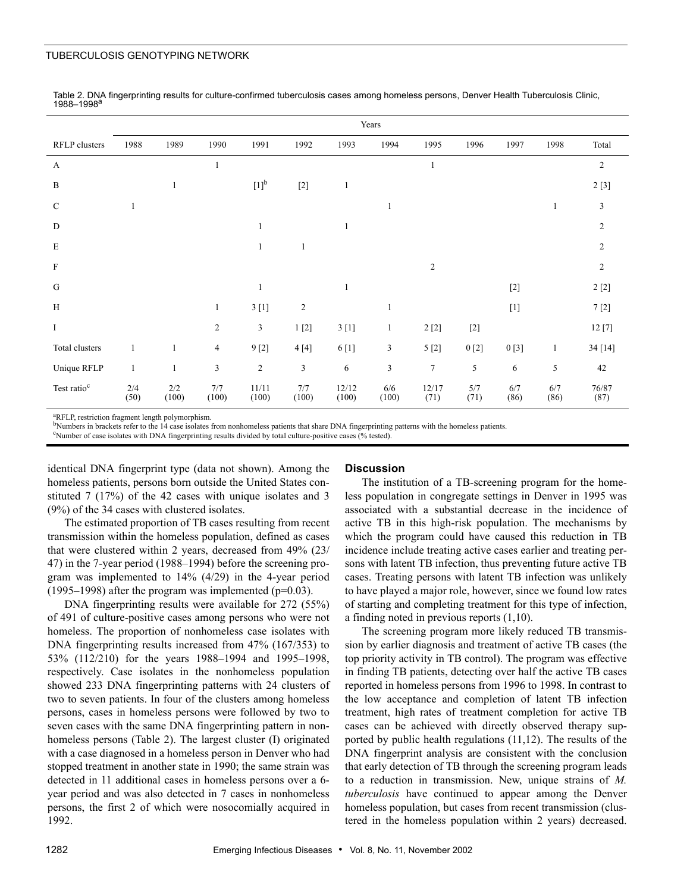## TUBERCULOSIS GENOTYPING NETWORK

|                         | Years        |              |                |                  |                |                |                |                |             |             |              |                |
|-------------------------|--------------|--------------|----------------|------------------|----------------|----------------|----------------|----------------|-------------|-------------|--------------|----------------|
| RFLP clusters           | 1988         | 1989         | 1990           | 1991             | 1992           | 1993           | 1994           | 1995           | 1996        | 1997        | 1998         | Total          |
| $\boldsymbol{A}$        |              |              |                |                  |                |                |                |                |             |             |              | $\overline{c}$ |
| $\, {\bf B}$            |              |              |                | $[1]^{b}$        | $[2]$          | 1              |                |                |             |             |              | 2[3]           |
| $\mathbf C$             |              |              |                |                  |                |                |                |                |             |             | 1            | 3              |
| D                       |              |              |                |                  |                | 1              |                |                |             |             |              | $\overline{2}$ |
| $\mathbf E$             |              |              |                | 1                | 1              |                |                |                |             |             |              | $\overline{2}$ |
| $\rm F$                 |              |              |                |                  |                |                |                | $\overline{c}$ |             |             |              | $\overline{2}$ |
| G                       |              |              |                |                  |                | $\mathbf{1}$   |                |                |             | $[2]$       |              | $2\ [2]$       |
| H                       |              |              | 1              | 3[1]             | $\overline{c}$ |                | 1              |                |             | $[1]$       |              | 7[2]           |
| $\rm I$                 |              |              | $\mathfrak{2}$ | $\mathfrak{Z}$   | 1[2]           | 3[1]           | 1              | $2\ [2]$       | $[2]$       |             |              | 12[7]          |
| Total clusters          | 1            |              | $\overline{4}$ | 9[2]             | 4[4]           | 6 [1]          | 3              | 5[2]           | 0[2]        | 0[3]        | $\mathbf{1}$ | 34 [14]        |
| Unique RFLP             | $\mathbf{1}$ | 1            | $\mathfrak{Z}$ | $\boldsymbol{2}$ | $\mathfrak{Z}$ | $\sqrt{6}$     | $\mathfrak{Z}$ | $\tau$         | 5           | 6           | 5            | 42             |
| Test ratio <sup>c</sup> | 2/4<br>(50)  | 2/2<br>(100) | 7/7<br>(100)   | 11/11<br>(100)   | 7/7<br>(100)   | 12/12<br>(100) | 6/6<br>(100)   | 12/17<br>(71)  | 5/7<br>(71) | 6/7<br>(86) | 6/7<br>(86)  | 76/87<br>(87)  |

Table 2. DNA fingerprinting results for culture-confirmed tuberculosis cases among homeless persons, Denver Health Tuberculosis Clinic, 1988–1998<sup>a</sup>

<sup>a</sup>RFLP, restriction fragment length polymorphism.

bNumbers in brackets refer to the 14 case isolates from nonhomeless patients that share DNA fingerprinting patterns with the homeless patients.

Number of case isolates with DNA fingerprinting results divided by total culture-positive cases (% tested).

identical DNA fingerprint type (data not shown). Among the homeless patients, persons born outside the United States constituted 7 (17%) of the 42 cases with unique isolates and 3 (9%) of the 34 cases with clustered isolates.

The estimated proportion of TB cases resulting from recent transmission within the homeless population, defined as cases that were clustered within 2 years, decreased from 49% (23/ 47) in the 7-year period (1988–1994) before the screening program was implemented to 14% (4/29) in the 4-year period  $(1995-1998)$  after the program was implemented (p=0.03).

DNA fingerprinting results were available for 272 (55%) of 491 of culture-positive cases among persons who were not homeless. The proportion of nonhomeless case isolates with DNA fingerprinting results increased from 47% (167/353) to 53% (112/210) for the years 1988–1994 and 1995–1998, respectively. Case isolates in the nonhomeless population showed 233 DNA fingerprinting patterns with 24 clusters of two to seven patients. In four of the clusters among homeless persons, cases in homeless persons were followed by two to seven cases with the same DNA fingerprinting pattern in nonhomeless persons (Table 2). The largest cluster (I) originated with a case diagnosed in a homeless person in Denver who had stopped treatment in another state in 1990; the same strain was detected in 11 additional cases in homeless persons over a 6 year period and was also detected in 7 cases in nonhomeless persons, the first 2 of which were nosocomially acquired in 1992.

#### **Discussion**

The institution of a TB-screening program for the homeless population in congregate settings in Denver in 1995 was associated with a substantial decrease in the incidence of active TB in this high-risk population. The mechanisms by which the program could have caused this reduction in TB incidence include treating active cases earlier and treating persons with latent TB infection, thus preventing future active TB cases. Treating persons with latent TB infection was unlikely to have played a major role, however, since we found low rates of starting and completing treatment for this type of infection, a finding noted in previous reports (1,10).

The screening program more likely reduced TB transmission by earlier diagnosis and treatment of active TB cases (the top priority activity in TB control). The program was effective in finding TB patients, detecting over half the active TB cases reported in homeless persons from 1996 to 1998. In contrast to the low acceptance and completion of latent TB infection treatment, high rates of treatment completion for active TB cases can be achieved with directly observed therapy supported by public health regulations (11,12). The results of the DNA fingerprint analysis are consistent with the conclusion that early detection of TB through the screening program leads to a reduction in transmission. New, unique strains of *M. tuberculosis* have continued to appear among the Denver homeless population, but cases from recent transmission (clustered in the homeless population within 2 years) decreased.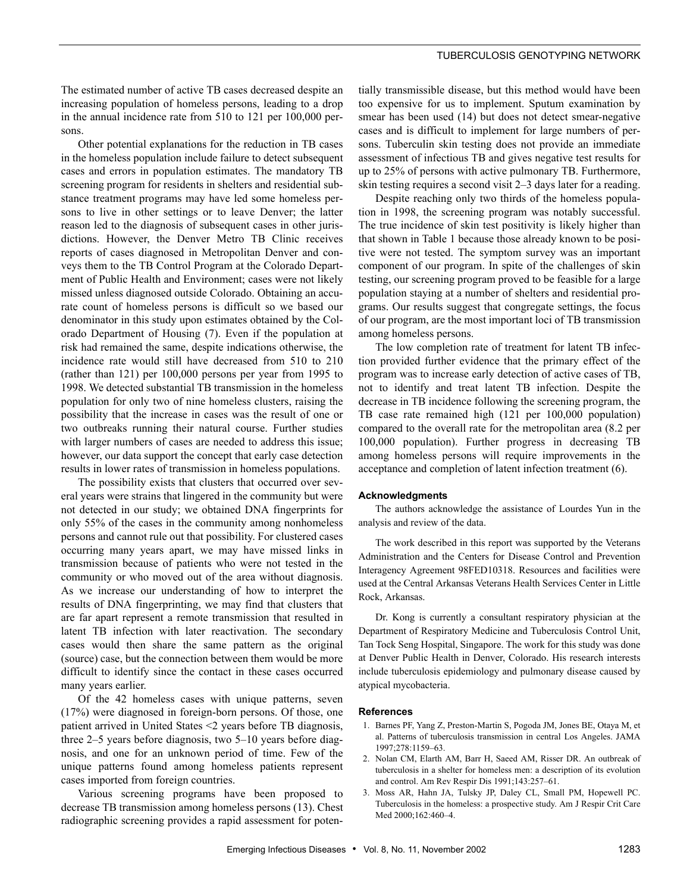### TUBERCULOSIS GENOTYPING NETWORK

The estimated number of active TB cases decreased despite an increasing population of homeless persons, leading to a drop in the annual incidence rate from 510 to 121 per 100,000 persons.

Other potential explanations for the reduction in TB cases in the homeless population include failure to detect subsequent cases and errors in population estimates. The mandatory TB screening program for residents in shelters and residential substance treatment programs may have led some homeless persons to live in other settings or to leave Denver; the latter reason led to the diagnosis of subsequent cases in other jurisdictions. However, the Denver Metro TB Clinic receives reports of cases diagnosed in Metropolitan Denver and conveys them to the TB Control Program at the Colorado Department of Public Health and Environment; cases were not likely missed unless diagnosed outside Colorado. Obtaining an accurate count of homeless persons is difficult so we based our denominator in this study upon estimates obtained by the Colorado Department of Housing (7). Even if the population at risk had remained the same, despite indications otherwise, the incidence rate would still have decreased from 510 to 210 (rather than 121) per 100,000 persons per year from 1995 to 1998. We detected substantial TB transmission in the homeless population for only two of nine homeless clusters, raising the possibility that the increase in cases was the result of one or two outbreaks running their natural course. Further studies with larger numbers of cases are needed to address this issue; however, our data support the concept that early case detection results in lower rates of transmission in homeless populations.

The possibility exists that clusters that occurred over several years were strains that lingered in the community but were not detected in our study; we obtained DNA fingerprints for only 55% of the cases in the community among nonhomeless persons and cannot rule out that possibility. For clustered cases occurring many years apart, we may have missed links in transmission because of patients who were not tested in the community or who moved out of the area without diagnosis. As we increase our understanding of how to interpret the results of DNA fingerprinting, we may find that clusters that are far apart represent a remote transmission that resulted in latent TB infection with later reactivation. The secondary cases would then share the same pattern as the original (source) case, but the connection between them would be more difficult to identify since the contact in these cases occurred many years earlier.

Of the 42 homeless cases with unique patterns, seven (17%) were diagnosed in foreign-born persons. Of those, one patient arrived in United States <2 years before TB diagnosis, three 2–5 years before diagnosis, two 5–10 years before diagnosis, and one for an unknown period of time. Few of the unique patterns found among homeless patients represent cases imported from foreign countries.

Various screening programs have been proposed to decrease TB transmission among homeless persons (13). Chest radiographic screening provides a rapid assessment for poten-

tially transmissible disease, but this method would have been too expensive for us to implement. Sputum examination by smear has been used (14) but does not detect smear-negative cases and is difficult to implement for large numbers of persons. Tuberculin skin testing does not provide an immediate assessment of infectious TB and gives negative test results for up to 25% of persons with active pulmonary TB. Furthermore, skin testing requires a second visit 2–3 days later for a reading.

Despite reaching only two thirds of the homeless population in 1998, the screening program was notably successful. The true incidence of skin test positivity is likely higher than that shown in Table 1 because those already known to be positive were not tested. The symptom survey was an important component of our program. In spite of the challenges of skin testing, our screening program proved to be feasible for a large population staying at a number of shelters and residential programs. Our results suggest that congregate settings, the focus of our program, are the most important loci of TB transmission among homeless persons.

The low completion rate of treatment for latent TB infection provided further evidence that the primary effect of the program was to increase early detection of active cases of TB, not to identify and treat latent TB infection. Despite the decrease in TB incidence following the screening program, the TB case rate remained high (121 per 100,000 population) compared to the overall rate for the metropolitan area (8.2 per 100,000 population). Further progress in decreasing TB among homeless persons will require improvements in the acceptance and completion of latent infection treatment (6).

#### **Acknowledgments**

The authors acknowledge the assistance of Lourdes Yun in the analysis and review of the data.

The work described in this report was supported by the Veterans Administration and the Centers for Disease Control and Prevention Interagency Agreement 98FED10318. Resources and facilities were used at the Central Arkansas Veterans Health Services Center in Little Rock, Arkansas.

Dr. Kong is currently a consultant respiratory physician at the Department of Respiratory Medicine and Tuberculosis Control Unit, Tan Tock Seng Hospital, Singapore. The work for this study was done at Denver Public Health in Denver, Colorado. His research interests include tuberculosis epidemiology and pulmonary disease caused by atypical mycobacteria.

#### **References**

- 1. Barnes PF, Yang Z, Preston-Martin S, Pogoda JM, Jones BE, Otaya M, et al. Patterns of tuberculosis transmission in central Los Angeles. JAMA 1997;278:1159–63.
- 2. Nolan CM, Elarth AM, Barr H, Saeed AM, Risser DR. An outbreak of tuberculosis in a shelter for homeless men: a description of its evolution and control. Am Rev Respir Dis 1991;143:257–61.
- 3. Moss AR, Hahn JA, Tulsky JP, Daley CL, Small PM, Hopewell PC. Tuberculosis in the homeless: a prospective study. Am J Respir Crit Care Med 2000;162:460–4.